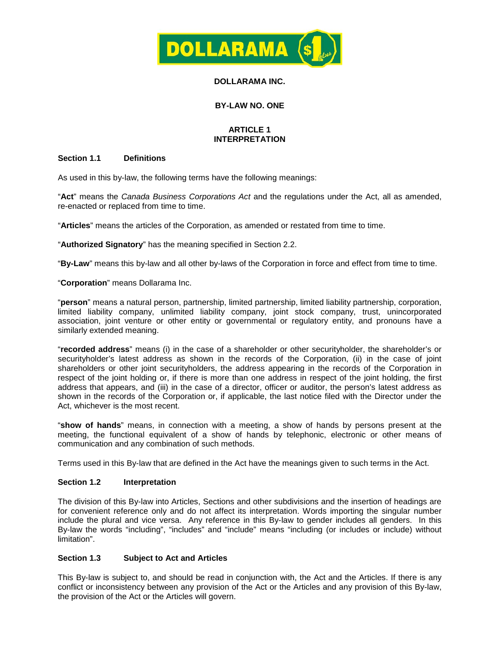

## **DOLLARAMA INC.**

# **BY-LAW NO. ONE**

## **ARTICLE 1 INTERPRETATION**

## **Section 1.1 Definitions**

As used in this by-law, the following terms have the following meanings:

"**Act**" means the *Canada Business Corporations Act* and the regulations under the Act, all as amended, re-enacted or replaced from time to time.

"**Articles**" means the articles of the Corporation, as amended or restated from time to time.

"**Authorized Signatory**" has the meaning specified in [Section](#page-1-0) 2.2.

"**By-Law**" means this by-law and all other by-laws of the Corporation in force and effect from time to time.

"**Corporation**" means Dollarama Inc.

"**person**" means a natural person, partnership, limited partnership, limited liability partnership, corporation, limited liability company, unlimited liability company, joint stock company, trust, unincorporated association, joint venture or other entity or governmental or regulatory entity, and pronouns have a similarly extended meaning.

"**recorded address**" means (i) in the case of a shareholder or other securityholder, the shareholder's or securityholder's latest address as shown in the records of the Corporation, (ii) in the case of joint shareholders or other joint securityholders, the address appearing in the records of the Corporation in respect of the joint holding or, if there is more than one address in respect of the joint holding, the first address that appears, and (iii) in the case of a director, officer or auditor, the person's latest address as shown in the records of the Corporation or, if applicable, the last notice filed with the Director under the Act, whichever is the most recent.

"**show of hands**" means, in connection with a meeting, a show of hands by persons present at the meeting, the functional equivalent of a show of hands by telephonic, electronic or other means of communication and any combination of such methods.

Terms used in this By-law that are defined in the Act have the meanings given to such terms in the Act.

#### **Section 1.2 Interpretation**

The division of this By-law into Articles, Sections and other subdivisions and the insertion of headings are for convenient reference only and do not affect its interpretation. Words importing the singular number include the plural and vice versa. Any reference in this By-law to gender includes all genders. In this By-law the words "including", "includes" and "include" means "including (or includes or include) without limitation".

#### **Section 1.3 Subject to Act and Articles**

This By-law is subject to, and should be read in conjunction with, the Act and the Articles. If there is any conflict or inconsistency between any provision of the Act or the Articles and any provision of this By-law, the provision of the Act or the Articles will govern.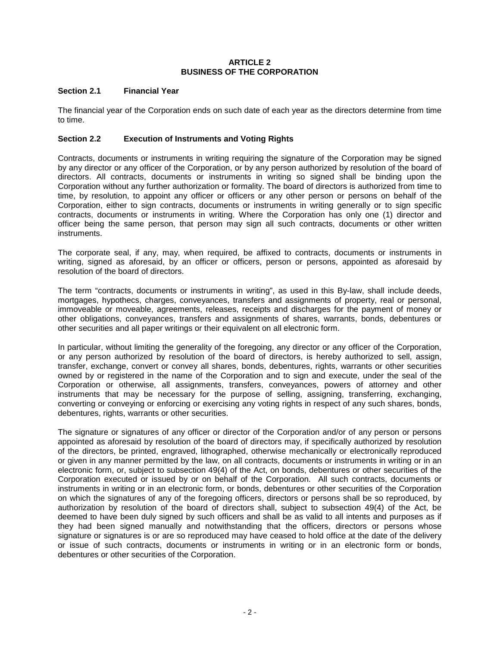## **ARTICLE 2 BUSINESS OF THE CORPORATION**

## **Section 2.1 Financial Year**

The financial year of the Corporation ends on such date of each year as the directors determine from time to time.

## <span id="page-1-0"></span>**Section 2.2 Execution of Instruments and Voting Rights**

Contracts, documents or instruments in writing requiring the signature of the Corporation may be signed by any director or any officer of the Corporation, or by any person authorized by resolution of the board of directors. All contracts, documents or instruments in writing so signed shall be binding upon the Corporation without any further authorization or formality. The board of directors is authorized from time to time, by resolution, to appoint any officer or officers or any other person or persons on behalf of the Corporation, either to sign contracts, documents or instruments in writing generally or to sign specific contracts, documents or instruments in writing. Where the Corporation has only one (1) director and officer being the same person, that person may sign all such contracts, documents or other written instruments.

The corporate seal, if any, may, when required, be affixed to contracts, documents or instruments in writing, signed as aforesaid, by an officer or officers, person or persons, appointed as aforesaid by resolution of the board of directors.

The term "contracts, documents or instruments in writing", as used in this By-law, shall include deeds, mortgages, hypothecs, charges, conveyances, transfers and assignments of property, real or personal, immoveable or moveable, agreements, releases, receipts and discharges for the payment of money or other obligations, conveyances, transfers and assignments of shares, warrants, bonds, debentures or other securities and all paper writings or their equivalent on all electronic form.

In particular, without limiting the generality of the foregoing, any director or any officer of the Corporation, or any person authorized by resolution of the board of directors, is hereby authorized to sell, assign, transfer, exchange, convert or convey all shares, bonds, debentures, rights, warrants or other securities owned by or registered in the name of the Corporation and to sign and execute, under the seal of the Corporation or otherwise, all assignments, transfers, conveyances, powers of attorney and other instruments that may be necessary for the purpose of selling, assigning, transferring, exchanging, converting or conveying or enforcing or exercising any voting rights in respect of any such shares, bonds, debentures, rights, warrants or other securities.

The signature or signatures of any officer or director of the Corporation and/or of any person or persons appointed as aforesaid by resolution of the board of directors may, if specifically authorized by resolution of the directors, be printed, engraved, lithographed, otherwise mechanically or electronically reproduced or given in any manner permitted by the law, on all contracts, documents or instruments in writing or in an electronic form, or, subject to subsection 49(4) of the Act, on bonds, debentures or other securities of the Corporation executed or issued by or on behalf of the Corporation. All such contracts, documents or instruments in writing or in an electronic form, or bonds, debentures or other securities of the Corporation on which the signatures of any of the foregoing officers, directors or persons shall be so reproduced, by authorization by resolution of the board of directors shall, subject to subsection 49(4) of the Act, be deemed to have been duly signed by such officers and shall be as valid to all intents and purposes as if they had been signed manually and notwithstanding that the officers, directors or persons whose signature or signatures is or are so reproduced may have ceased to hold office at the date of the delivery or issue of such contracts, documents or instruments in writing or in an electronic form or bonds, debentures or other securities of the Corporation.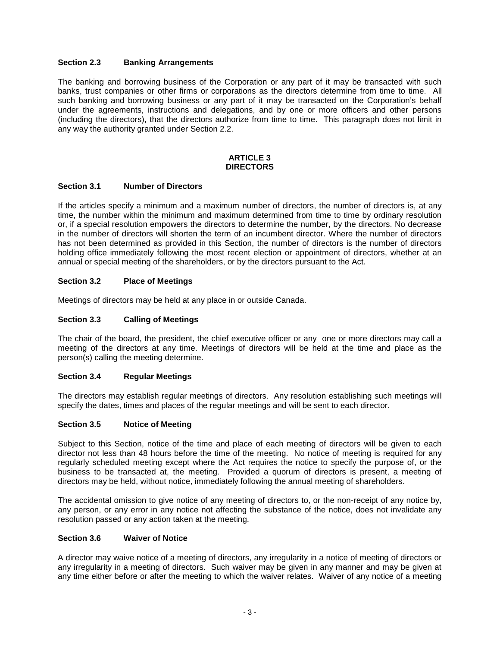## **Section 2.3 Banking Arrangements**

The banking and borrowing business of the Corporation or any part of it may be transacted with such banks, trust companies or other firms or corporations as the directors determine from time to time. All such banking and borrowing business or any part of it may be transacted on the Corporation's behalf under the agreements, instructions and delegations, and by one or more officers and other persons (including the directors), that the directors authorize from time to time. This paragraph does not limit in any way the authority granted under [Section](#page-1-0) 2.2.

#### **ARTICLE 3 DIRECTORS**

## **Section 3.1 Number of Directors**

If the articles specify a minimum and a maximum number of directors, the number of directors is, at any time, the number within the minimum and maximum determined from time to time by ordinary resolution or, if a special resolution empowers the directors to determine the number, by the directors. No decrease in the number of directors will shorten the term of an incumbent director. Where the number of directors has not been determined as provided in this Section, the number of directors is the number of directors holding office immediately following the most recent election or appointment of directors, whether at an annual or special meeting of the shareholders, or by the directors pursuant to the Act.

## <span id="page-2-0"></span>**Section 3.2 Place of Meetings**

Meetings of directors may be held at any place in or outside Canada.

## **Section 3.3 Calling of Meetings**

The chair of the board, the president, the chief executive officer or any one or more directors may call a meeting of the directors at any time. Meetings of directors will be held at the time and place as the person(s) calling the meeting determine.

#### **Section 3.4 Regular Meetings**

The directors may establish regular meetings of directors. Any resolution establishing such meetings will specify the dates, times and places of the regular meetings and will be sent to each director.

#### **Section 3.5 Notice of Meeting**

Subject to this Section, notice of the time and place of each meeting of directors will be given to each director not less than 48 hours before the time of the meeting. No notice of meeting is required for any regularly scheduled meeting except where the Act requires the notice to specify the purpose of, or the business to be transacted at, the meeting. Provided a quorum of directors is present, a meeting of directors may be held, without notice, immediately following the annual meeting of shareholders.

The accidental omission to give notice of any meeting of directors to, or the non-receipt of any notice by, any person, or any error in any notice not affecting the substance of the notice, does not invalidate any resolution passed or any action taken at the meeting.

#### **Section 3.6 Waiver of Notice**

A director may waive notice of a meeting of directors, any irregularity in a notice of meeting of directors or any irregularity in a meeting of directors. Such waiver may be given in any manner and may be given at any time either before or after the meeting to which the waiver relates. Waiver of any notice of a meeting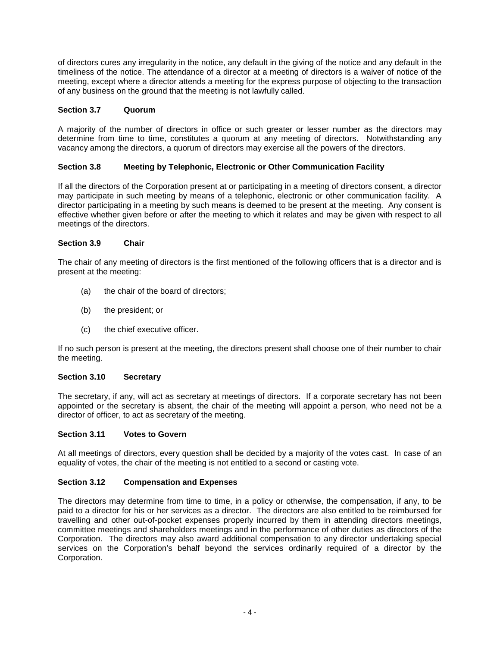of directors cures any irregularity in the notice, any default in the giving of the notice and any default in the timeliness of the notice. The attendance of a director at a meeting of directors is a waiver of notice of the meeting, except where a director attends a meeting for the express purpose of objecting to the transaction of any business on the ground that the meeting is not lawfully called.

# **Section 3.7 Quorum**

A majority of the number of directors in office or such greater or lesser number as the directors may determine from time to time, constitutes a quorum at any meeting of directors. Notwithstanding any vacancy among the directors, a quorum of directors may exercise all the powers of the directors.

## **Section 3.8 Meeting by Telephonic, Electronic or Other Communication Facility**

If all the directors of the Corporation present at or participating in a meeting of directors consent, a director may participate in such meeting by means of a telephonic, electronic or other communication facility. A director participating in a meeting by such means is deemed to be present at the meeting. Any consent is effective whether given before or after the meeting to which it relates and may be given with respect to all meetings of the directors.

# <span id="page-3-1"></span>**Section 3.9 Chair**

The chair of any meeting of directors is the first mentioned of the following officers that is a director and is present at the meeting:

- (a) the chair of the board of directors;
- (b) the president; or
- (c) the chief executive officer.

If no such person is present at the meeting, the directors present shall choose one of their number to chair the meeting.

#### <span id="page-3-2"></span>**Section 3.10 Secretary**

The secretary, if any, will act as secretary at meetings of directors. If a corporate secretary has not been appointed or the secretary is absent, the chair of the meeting will appoint a person, who need not be a director of officer, to act as secretary of the meeting.

#### <span id="page-3-0"></span>**Section 3.11 Votes to Govern**

At all meetings of directors, every question shall be decided by a majority of the votes cast. In case of an equality of votes, the chair of the meeting is not entitled to a second or casting vote.

#### **Section 3.12 Compensation and Expenses**

The directors may determine from time to time, in a policy or otherwise, the compensation, if any, to be paid to a director for his or her services as a director. The directors are also entitled to be reimbursed for travelling and other out-of-pocket expenses properly incurred by them in attending directors meetings, committee meetings and shareholders meetings and in the performance of other duties as directors of the Corporation. The directors may also award additional compensation to any director undertaking special services on the Corporation's behalf beyond the services ordinarily required of a director by the Corporation.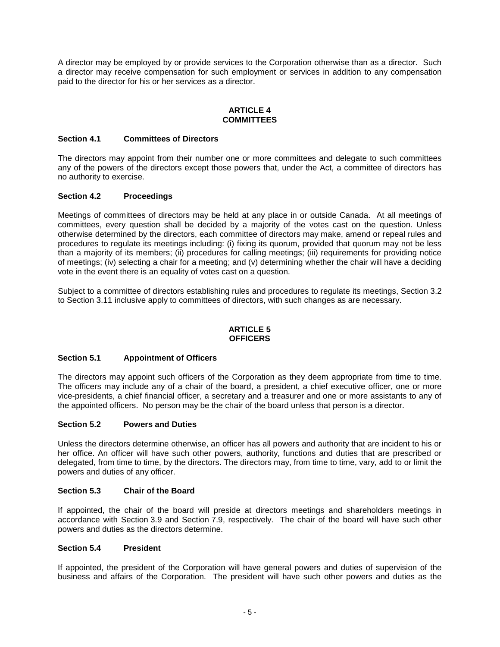A director may be employed by or provide services to the Corporation otherwise than as a director. Such a director may receive compensation for such employment or services in addition to any compensation paid to the director for his or her services as a director.

#### **ARTICLE 4 COMMITTEES**

#### **Section 4.1 Committees of Directors**

The directors may appoint from their number one or more committees and delegate to such committees any of the powers of the directors except those powers that, under the Act, a committee of directors has no authority to exercise.

## **Section 4.2 Proceedings**

Meetings of committees of directors may be held at any place in or outside Canada. At all meetings of committees, every question shall be decided by a majority of the votes cast on the question. Unless otherwise determined by the directors, each committee of directors may make, amend or repeal rules and procedures to regulate its meetings including: (i) fixing its quorum, provided that quorum may not be less than a majority of its members; (ii) procedures for calling meetings; (iii) requirements for providing notice of meetings; (iv) selecting a chair for a meeting; and (v) determining whether the chair will have a deciding vote in the event there is an equality of votes cast on a question.

Subject to a committee of directors establishing rules and procedures to regulate its meetings, [Section](#page-2-0) 3.2 to [Section](#page-3-0) 3.11 inclusive apply to committees of directors, with such changes as are necessary.

#### **ARTICLE 5 OFFICERS**

#### **Section 5.1 Appointment of Officers**

The directors may appoint such officers of the Corporation as they deem appropriate from time to time. The officers may include any of a chair of the board, a president, a chief executive officer, one or more vice-presidents, a chief financial officer, a secretary and a treasurer and one or more assistants to any of the appointed officers.No person may be the chair of the board unless that person is a director.

#### **Section 5.2 Powers and Duties**

Unless the directors determine otherwise, an officer has all powers and authority that are incident to his or her office. An officer will have such other powers, authority, functions and duties that are prescribed or delegated, from time to time, by the directors. The directors may, from time to time, vary, add to or limit the powers and duties of any officer.

#### **Section 5.3 Chair of the Board**

If appointed, the chair of the board will preside at directors meetings and shareholders meetings in accordance with [Section](#page-3-1) 3.9 and [Section](#page-7-0) 7.9, respectively. The chair of the board will have such other powers and duties as the directors determine.

# **Section 5.4 President**

If appointed, the president of the Corporation will have general powers and duties of supervision of the business and affairs of the Corporation. The president will have such other powers and duties as the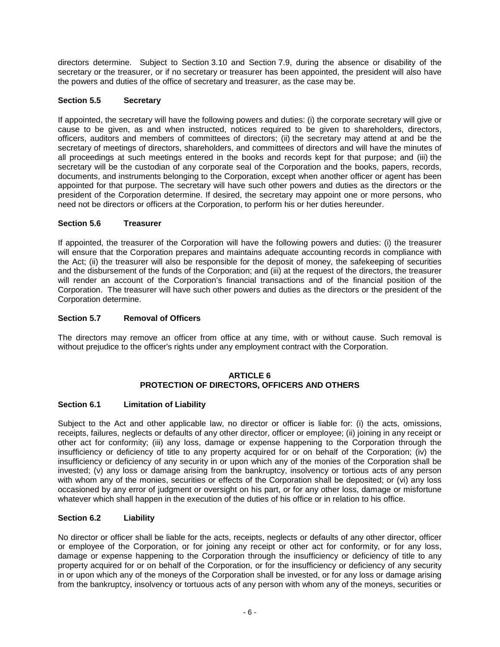directors determine. Subject to [Section](#page-3-2) 3.10 and [Section](#page-7-0) 7.9, during the absence or disability of the secretary or the treasurer, or if no secretary or treasurer has been appointed, the president will also have the powers and duties of the office of secretary and treasurer, as the case may be.

# **Section 5.5 Secretary**

If appointed, the secretary will have the following powers and duties: (i) the corporate secretary will give or cause to be given, as and when instructed, notices required to be given to shareholders, directors, officers, auditors and members of committees of directors; (ii) the secretary may attend at and be the secretary of meetings of directors, shareholders, and committees of directors and will have the minutes of all proceedings at such meetings entered in the books and records kept for that purpose; and (iii) the secretary will be the custodian of any corporate seal of the Corporation and the books, papers, records, documents, and instruments belonging to the Corporation, except when another officer or agent has been appointed for that purpose. The secretary will have such other powers and duties as the directors or the president of the Corporation determine. If desired, the secretary may appoint one or more persons, who need not be directors or officers at the Corporation, to perform his or her duties hereunder.

# **Section 5.6 Treasurer**

If appointed, the treasurer of the Corporation will have the following powers and duties: (i) the treasurer will ensure that the Corporation prepares and maintains adequate accounting records in compliance with the Act; (ii) the treasurer will also be responsible for the deposit of money, the safekeeping of securities and the disbursement of the funds of the Corporation; and (iii) at the request of the directors, the treasurer will render an account of the Corporation's financial transactions and of the financial position of the Corporation. The treasurer will have such other powers and duties as the directors or the president of the Corporation determine.

## **Section 5.7 Removal of Officers**

The directors may remove an officer from office at any time, with or without cause. Such removal is without prejudice to the officer's rights under any employment contract with the Corporation.

#### **ARTICLE 6 PROTECTION OF DIRECTORS, OFFICERS AND OTHERS**

# **Section 6.1 Limitation of Liability**

Subject to the Act and other applicable law, no director or officer is liable for: (i) the acts, omissions, receipts, failures, neglects or defaults of any other director, officer or employee; (ii) joining in any receipt or other act for conformity; (iii) any loss, damage or expense happening to the Corporation through the insufficiency or deficiency of title to any property acquired for or on behalf of the Corporation; (iv) the insufficiency or deficiency of any security in or upon which any of the monies of the Corporation shall be invested; (v) any loss or damage arising from the bankruptcy, insolvency or tortious acts of any person with whom any of the monies, securities or effects of the Corporation shall be deposited; or (vi) any loss occasioned by any error of judgment or oversight on his part, or for any other loss, damage or misfortune whatever which shall happen in the execution of the duties of his office or in relation to his office.

#### **Section 6.2 Liability**

No director or officer shall be liable for the acts, receipts, neglects or defaults of any other director, officer or employee of the Corporation, or for joining any receipt or other act for conformity, or for any loss, damage or expense happening to the Corporation through the insufficiency or deficiency of title to any property acquired for or on behalf of the Corporation, or for the insufficiency or deficiency of any security in or upon which any of the moneys of the Corporation shall be invested, or for any loss or damage arising from the bankruptcy, insolvency or tortuous acts of any person with whom any of the moneys, securities or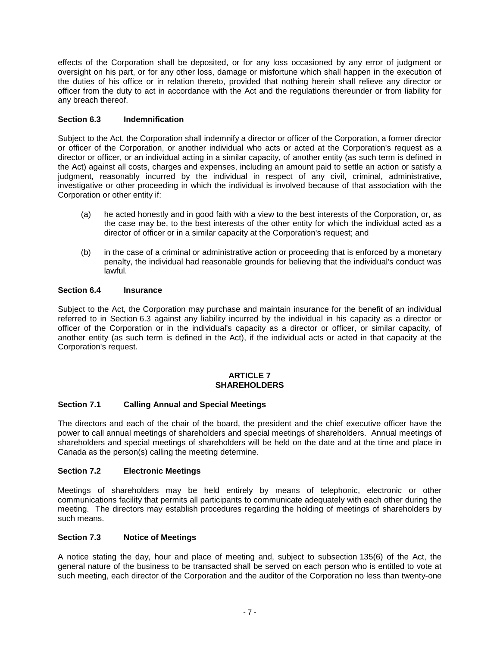effects of the Corporation shall be deposited, or for any loss occasioned by any error of judgment or oversight on his part, or for any other loss, damage or misfortune which shall happen in the execution of the duties of his office or in relation thereto, provided that nothing herein shall relieve any director or officer from the duty to act in accordance with the Act and the regulations thereunder or from liability for any breach thereof.

# <span id="page-6-0"></span>**Section 6.3 Indemnification**

Subject to the Act, the Corporation shall indemnify a director or officer of the Corporation, a former director or officer of the Corporation, or another individual who acts or acted at the Corporation's request as a director or officer, or an individual acting in a similar capacity, of another entity (as such term is defined in the Act) against all costs, charges and expenses, including an amount paid to settle an action or satisfy a judgment, reasonably incurred by the individual in respect of any civil, criminal, administrative, investigative or other proceeding in which the individual is involved because of that association with the Corporation or other entity if:

- (a) he acted honestly and in good faith with a view to the best interests of the Corporation, or, as the case may be, to the best interests of the other entity for which the individual acted as a director of officer or in a similar capacity at the Corporation's request; and
- (b) in the case of a criminal or administrative action or proceeding that is enforced by a monetary penalty, the individual had reasonable grounds for believing that the individual's conduct was lawful.

# **Section 6.4 Insurance**

Subject to the Act, the Corporation may purchase and maintain insurance for the benefit of an individual referred to in [Section](#page-6-0) 6.3 against any liability incurred by the individual in his capacity as a director or officer of the Corporation or in the individual's capacity as a director or officer, or similar capacity, of another entity (as such term is defined in the Act), if the individual acts or acted in that capacity at the Corporation's request.

#### **ARTICLE 7 SHAREHOLDERS**

# **Section 7.1 Calling Annual and Special Meetings**

The directors and each of the chair of the board, the president and the chief executive officer have the power to call annual meetings of shareholders and special meetings of shareholders. Annual meetings of shareholders and special meetings of shareholders will be held on the date and at the time and place in Canada as the person(s) calling the meeting determine.

# **Section 7.2 Electronic Meetings**

Meetings of shareholders may be held entirely by means of telephonic, electronic or other communications facility that permits all participants to communicate adequately with each other during the meeting. The directors may establish procedures regarding the holding of meetings of shareholders by such means.

# **Section 7.3 Notice of Meetings**

A notice stating the day, hour and place of meeting and, subject to subsection 135(6) of the Act, the general nature of the business to be transacted shall be served on each person who is entitled to vote at such meeting, each director of the Corporation and the auditor of the Corporation no less than twenty-one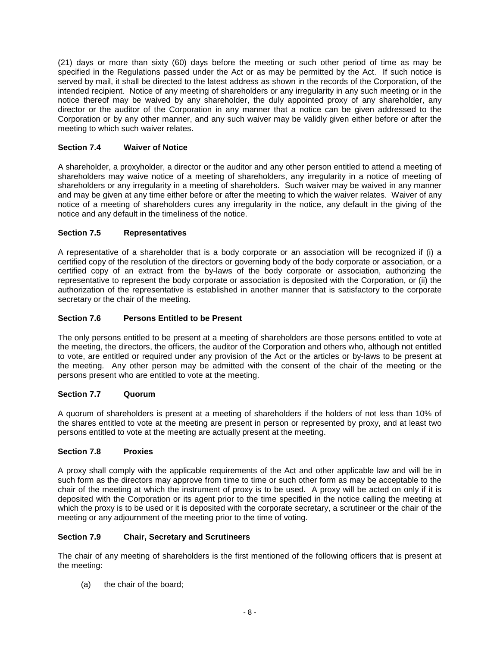(21) days or more than sixty (60) days before the meeting or such other period of time as may be specified in the Regulations passed under the Act or as may be permitted by the Act. If such notice is served by mail, it shall be directed to the latest address as shown in the records of the Corporation, of the intended recipient. Notice of any meeting of shareholders or any irregularity in any such meeting or in the notice thereof may be waived by any shareholder, the duly appointed proxy of any shareholder, any director or the auditor of the Corporation in any manner that a notice can be given addressed to the Corporation or by any other manner, and any such waiver may be validly given either before or after the meeting to which such waiver relates.

# **Section 7.4 Waiver of Notice**

A shareholder, a proxyholder, a director or the auditor and any other person entitled to attend a meeting of shareholders may waive notice of a meeting of shareholders, any irregularity in a notice of meeting of shareholders or any irregularity in a meeting of shareholders. Such waiver may be waived in any manner and may be given at any time either before or after the meeting to which the waiver relates. Waiver of any notice of a meeting of shareholders cures any irregularity in the notice, any default in the giving of the notice and any default in the timeliness of the notice.

# **Section 7.5 Representatives**

A representative of a shareholder that is a body corporate or an association will be recognized if (i) a certified copy of the resolution of the directors or governing body of the body corporate or association, or a certified copy of an extract from the by-laws of the body corporate or association, authorizing the representative to represent the body corporate or association is deposited with the Corporation, or (ii) the authorization of the representative is established in another manner that is satisfactory to the corporate secretary or the chair of the meeting.

# **Section 7.6 Persons Entitled to be Present**

The only persons entitled to be present at a meeting of shareholders are those persons entitled to vote at the meeting, the directors, the officers, the auditor of the Corporation and others who, although not entitled to vote, are entitled or required under any provision of the Act or the articles or by-laws to be present at the meeting. Any other person may be admitted with the consent of the chair of the meeting or the persons present who are entitled to vote at the meeting.

# **Section 7.7 Quorum**

A quorum of shareholders is present at a meeting of shareholders if the holders of not less than 10% of the shares entitled to vote at the meeting are present in person or represented by proxy, and at least two persons entitled to vote at the meeting are actually present at the meeting.

# **Section 7.8 Proxies**

A proxy shall comply with the applicable requirements of the Act and other applicable law and will be in such form as the directors may approve from time to time or such other form as may be acceptable to the chair of the meeting at which the instrument of proxy is to be used. A proxy will be acted on only if it is deposited with the Corporation or its agent prior to the time specified in the notice calling the meeting at which the proxy is to be used or it is deposited with the corporate secretary, a scrutineer or the chair of the meeting or any adjournment of the meeting prior to the time of voting.

# <span id="page-7-0"></span>**Section 7.9 Chair, Secretary and Scrutineers**

The chair of any meeting of shareholders is the first mentioned of the following officers that is present at the meeting:

(a) the chair of the board;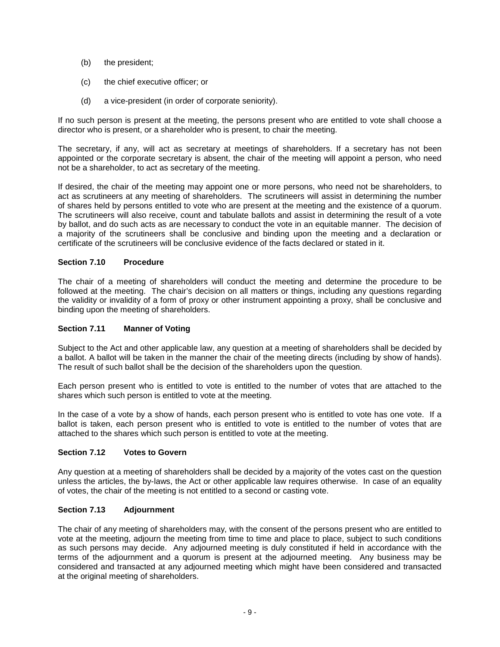- (b) the president;
- (c) the chief executive officer; or
- (d) a vice-president (in order of corporate seniority).

If no such person is present at the meeting, the persons present who are entitled to vote shall choose a director who is present, or a shareholder who is present, to chair the meeting.

The secretary, if any, will act as secretary at meetings of shareholders. If a secretary has not been appointed or the corporate secretary is absent, the chair of the meeting will appoint a person, who need not be a shareholder, to act as secretary of the meeting.

If desired, the chair of the meeting may appoint one or more persons, who need not be shareholders, to act as scrutineers at any meeting of shareholders. The scrutineers will assist in determining the number of shares held by persons entitled to vote who are present at the meeting and the existence of a quorum. The scrutineers will also receive, count and tabulate ballots and assist in determining the result of a vote by ballot, and do such acts as are necessary to conduct the vote in an equitable manner. The decision of a majority of the scrutineers shall be conclusive and binding upon the meeting and a declaration or certificate of the scrutineers will be conclusive evidence of the facts declared or stated in it.

# **Section 7.10 Procedure**

The chair of a meeting of shareholders will conduct the meeting and determine the procedure to be followed at the meeting. The chair's decision on all matters or things, including any questions regarding the validity or invalidity of a form of proxy or other instrument appointing a proxy, shall be conclusive and binding upon the meeting of shareholders.

#### **Section 7.11 Manner of Voting**

Subject to the Act and other applicable law, any question at a meeting of shareholders shall be decided by a ballot. A ballot will be taken in the manner the chair of the meeting directs (including by show of hands). The result of such ballot shall be the decision of the shareholders upon the question.

Each person present who is entitled to vote is entitled to the number of votes that are attached to the shares which such person is entitled to vote at the meeting.

In the case of a vote by a show of hands, each person present who is entitled to vote has one vote. If a ballot is taken, each person present who is entitled to vote is entitled to the number of votes that are attached to the shares which such person is entitled to vote at the meeting.

#### **Section 7.12 Votes to Govern**

Any question at a meeting of shareholders shall be decided by a majority of the votes cast on the question unless the articles, the by-laws, the Act or other applicable law requires otherwise. In case of an equality of votes, the chair of the meeting is not entitled to a second or casting vote.

# **Section 7.13 Adjournment**

The chair of any meeting of shareholders may, with the consent of the persons present who are entitled to vote at the meeting, adjourn the meeting from time to time and place to place, subject to such conditions as such persons may decide. Any adjourned meeting is duly constituted if held in accordance with the terms of the adjournment and a quorum is present at the adjourned meeting. Any business may be considered and transacted at any adjourned meeting which might have been considered and transacted at the original meeting of shareholders.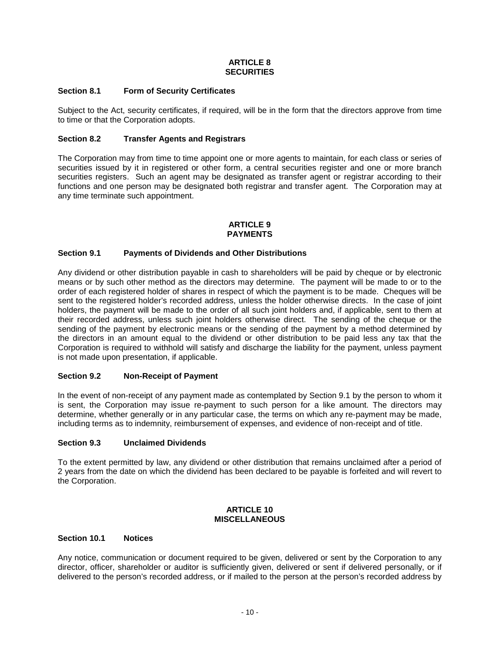## **ARTICLE 8 SECURITIES**

## **Section 8.1 Form of Security Certificates**

Subject to the Act, security certificates, if required, will be in the form that the directors approve from time to time or that the Corporation adopts.

## **Section 8.2 Transfer Agents and Registrars**

The Corporation may from time to time appoint one or more agents to maintain, for each class or series of securities issued by it in registered or other form, a central securities register and one or more branch securities registers. Such an agent may be designated as transfer agent or registrar according to their functions and one person may be designated both registrar and transfer agent. The Corporation may at any time terminate such appointment.

#### **ARTICLE 9 PAYMENTS**

## <span id="page-9-0"></span>**Section 9.1 Payments of Dividends and Other Distributions**

Any dividend or other distribution payable in cash to shareholders will be paid by cheque or by electronic means or by such other method as the directors may determine. The payment will be made to or to the order of each registered holder of shares in respect of which the payment is to be made. Cheques will be sent to the registered holder's recorded address, unless the holder otherwise directs. In the case of joint holders, the payment will be made to the order of all such joint holders and, if applicable, sent to them at their recorded address, unless such joint holders otherwise direct. The sending of the cheque or the sending of the payment by electronic means or the sending of the payment by a method determined by the directors in an amount equal to the dividend or other distribution to be paid less any tax that the Corporation is required to withhold will satisfy and discharge the liability for the payment, unless payment is not made upon presentation, if applicable.

#### **Section 9.2 Non-Receipt of Payment**

In the event of non-receipt of any payment made as contemplated by [Section](#page-9-0) 9.1 by the person to whom it is sent, the Corporation may issue re-payment to such person for a like amount. The directors may determine, whether generally or in any particular case, the terms on which any re-payment may be made, including terms as to indemnity, reimbursement of expenses, and evidence of non-receipt and of title.

#### **Section 9.3 Unclaimed Dividends**

To the extent permitted by law, any dividend or other distribution that remains unclaimed after a period of 2 years from the date on which the dividend has been declared to be payable is forfeited and will revert to the Corporation.

#### **ARTICLE 10 MISCELLANEOUS**

#### **Section 10.1 Notices**

Any notice, communication or document required to be given, delivered or sent by the Corporation to any director, officer, shareholder or auditor is sufficiently given, delivered or sent if delivered personally, or if delivered to the person's recorded address, or if mailed to the person at the person's recorded address by